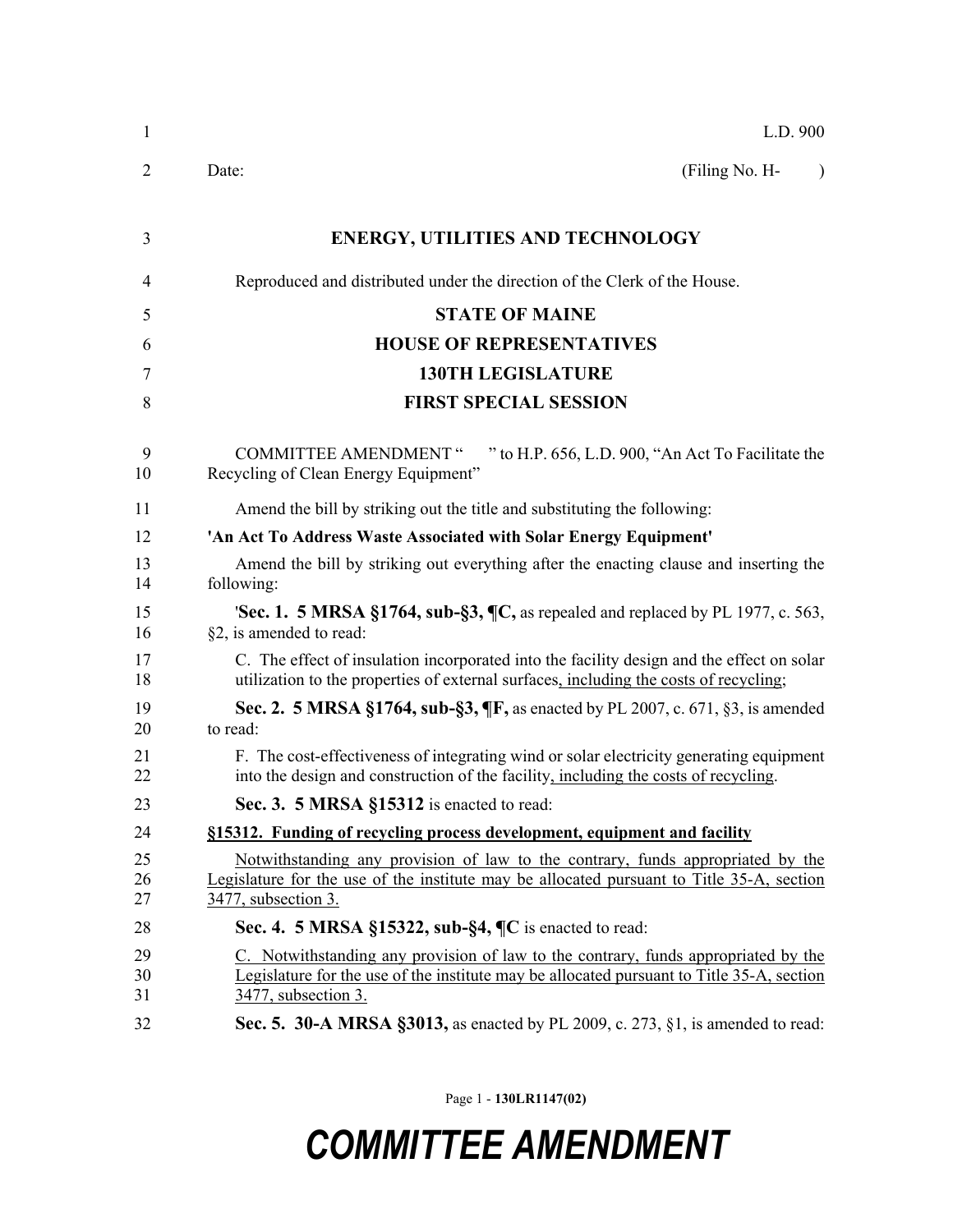| $\mathbf{1}$   | L.D. 900                                                                                                                                                                                               |  |
|----------------|--------------------------------------------------------------------------------------------------------------------------------------------------------------------------------------------------------|--|
| 2              | Date:<br>(Filing No. H-<br>$\lambda$                                                                                                                                                                   |  |
| 3              | <b>ENERGY, UTILITIES AND TECHNOLOGY</b>                                                                                                                                                                |  |
| 4              | Reproduced and distributed under the direction of the Clerk of the House.                                                                                                                              |  |
| 5              | <b>STATE OF MAINE</b>                                                                                                                                                                                  |  |
| 6              | <b>HOUSE OF REPRESENTATIVES</b>                                                                                                                                                                        |  |
| 7              | <b>130TH LEGISLATURE</b>                                                                                                                                                                               |  |
| 8              | <b>FIRST SPECIAL SESSION</b>                                                                                                                                                                           |  |
| 9<br>10        | <b>COMMITTEE AMENDMENT "</b><br>" to H.P. 656, L.D. 900, "An Act To Facilitate the<br>Recycling of Clean Energy Equipment"                                                                             |  |
| 11             | Amend the bill by striking out the title and substituting the following:                                                                                                                               |  |
| 12             | 'An Act To Address Waste Associated with Solar Energy Equipment'                                                                                                                                       |  |
| 13<br>14       | Amend the bill by striking out everything after the enacting clause and inserting the<br>following:                                                                                                    |  |
| 15<br>16       | 'Sec. 1. 5 MRSA §1764, sub-§3, ¶C, as repealed and replaced by PL 1977, c. 563,<br>§2, is amended to read:                                                                                             |  |
| 17<br>18       | C. The effect of insulation incorporated into the facility design and the effect on solar<br>utilization to the properties of external surfaces, including the costs of recycling;                     |  |
| 19<br>20       | Sec. 2. 5 MRSA §1764, sub-§3, ¶F, as enacted by PL 2007, c. 671, §3, is amended<br>to read:                                                                                                            |  |
| 21<br>22       | F. The cost-effectiveness of integrating wind or solar electricity generating equipment<br>into the design and construction of the facility, including the costs of recycling.                         |  |
| 23             | Sec. 3. 5 MRSA §15312 is enacted to read:                                                                                                                                                              |  |
| 24             | §15312. Funding of recycling process development, equipment and facility                                                                                                                               |  |
| 25<br>26<br>27 | Notwithstanding any provision of law to the contrary, funds appropriated by the<br>Legislature for the use of the institute may be allocated pursuant to Title 35-A, section<br>3477, subsection 3.    |  |
| 28             | Sec. 4. 5 MRSA §15322, sub-§4, $\P\mathbb{C}$ is enacted to read:                                                                                                                                      |  |
| 29<br>30<br>31 | C. Notwithstanding any provision of law to the contrary, funds appropriated by the<br>Legislature for the use of the institute may be allocated pursuant to Title 35-A, section<br>3477, subsection 3. |  |
| 32             | <b>Sec. 5. 30-A MRSA §3013, as enacted by PL 2009, c. 273, §1, is amended to read:</b>                                                                                                                 |  |
|                |                                                                                                                                                                                                        |  |

Page 1 - **130LR1147(02)**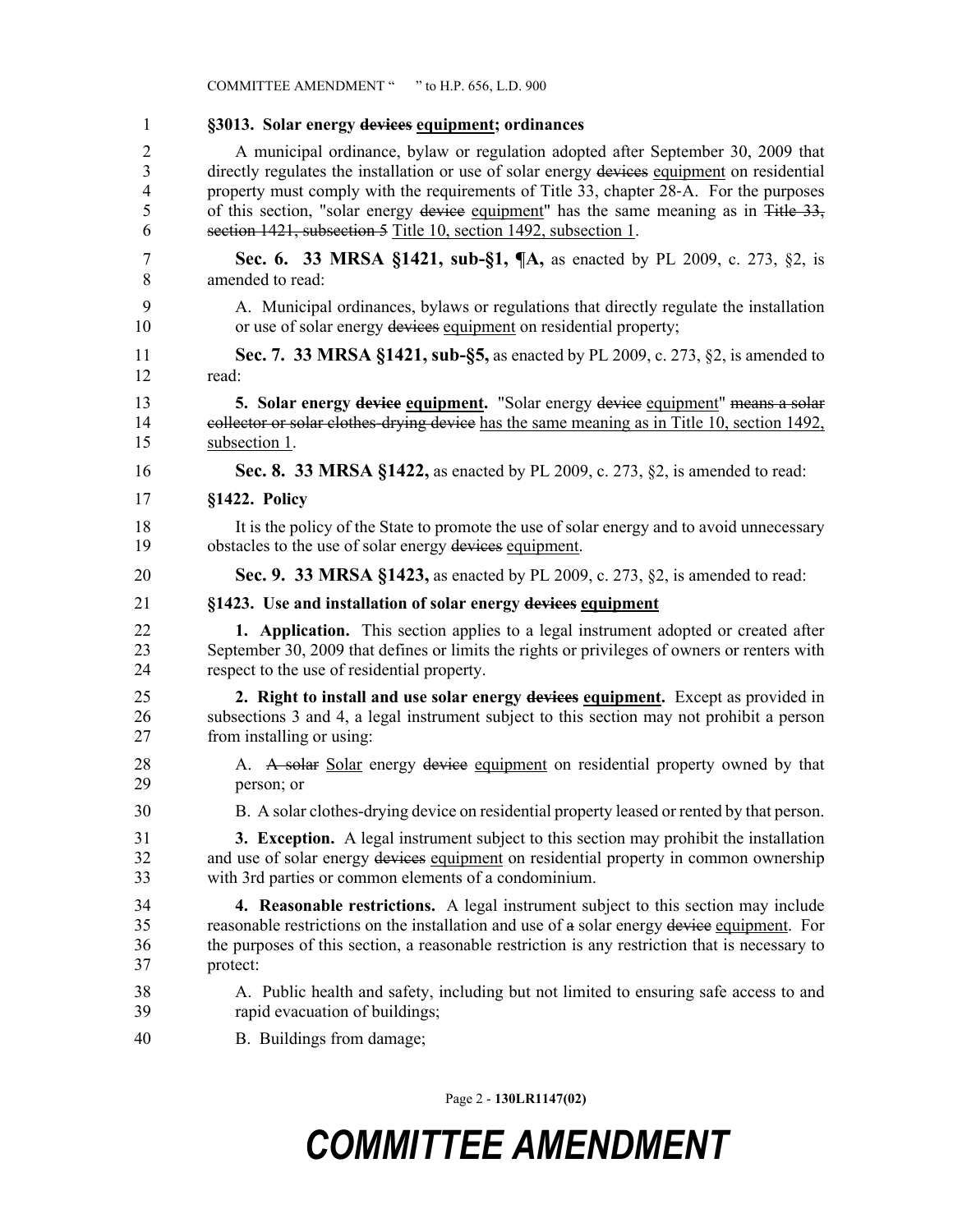|                | COMMITTEE AMENDMENT " " to H.P. 656, L.D. 900                                                  |
|----------------|------------------------------------------------------------------------------------------------|
| $\mathbf{1}$   | §3013. Solar energy devices equipment; ordinances                                              |
| $\overline{2}$ | A municipal ordinance, bylaw or regulation adopted after September 30, 2009 that               |
| 3              | directly regulates the installation or use of solar energy devices equipment on residential    |
| 4              | property must comply with the requirements of Title 33, chapter 28-A. For the purposes         |
| 5              | of this section, "solar energy device equipment" has the same meaning as in Title 33,          |
| 6              | section 1421, subsection 5 Title 10, section 1492, subsection 1.                               |
| 7              | Sec. 6. 33 MRSA §1421, sub-§1, ¶A, as enacted by PL 2009, c. 273, §2, is                       |
| 8              | amended to read:                                                                               |
| 9              | A. Municipal ordinances, bylaws or regulations that directly regulate the installation         |
| 10             | or use of solar energy devices equipment on residential property;                              |
| 11             | Sec. 7. 33 MRSA §1421, sub-§5, as enacted by PL 2009, c. 273, §2, is amended to                |
| 12             | read:                                                                                          |
| 13             | 5. Solar energy device equipment. "Solar energy device equipment" means a solar                |
| 14             | collector or solar clothes-drying device has the same meaning as in Title 10, section 1492,    |
| 15             | subsection 1.                                                                                  |
| 16             | Sec. 8. 33 MRSA §1422, as enacted by PL 2009, c. 273, §2, is amended to read:                  |
| 17             | §1422. Policy                                                                                  |
| 18             | It is the policy of the State to promote the use of solar energy and to avoid unnecessary      |
| 19             | obstacles to the use of solar energy devices equipment.                                        |
| 20             | Sec. 9. 33 MRSA §1423, as enacted by PL 2009, c. 273, §2, is amended to read:                  |
| 21             | §1423. Use and installation of solar energy devices equipment                                  |
| 22             | <b>1.</b> Application. This section applies to a legal instrument adopted or created after     |
| 23             | September 30, 2009 that defines or limits the rights or privileges of owners or renters with   |
| 24             | respect to the use of residential property.                                                    |
| 25             | 2. Right to install and use solar energy devices equipment. Except as provided in              |
| 26             | subsections 3 and 4, a legal instrument subject to this section may not prohibit a person      |
| 27             | from installing or using:                                                                      |
| 28             | A. A solar Solar energy device equipment on residential property owned by that                 |
| 29             | person; or                                                                                     |
| 30             | B. A solar clothes-drying device on residential property leased or rented by that person.      |
| 31             | 3. Exception. A legal instrument subject to this section may prohibit the installation         |
| 32             | and use of solar energy devices equipment on residential property in common ownership          |
| 33             | with 3rd parties or common elements of a condominium.                                          |
| 34             | 4. Reasonable restrictions. A legal instrument subject to this section may include             |
| 35             | reasonable restrictions on the installation and use of a solar energy device equipment. For    |
| 36             | the purposes of this section, a reasonable restriction is any restriction that is necessary to |
| 37             | protect:                                                                                       |
| 38             | A. Public health and safety, including but not limited to ensuring safe access to and          |
| 39             | rapid evacuation of buildings;                                                                 |
| 40             | B. Buildings from damage;                                                                      |

Page 2 - **130LR1147(02)**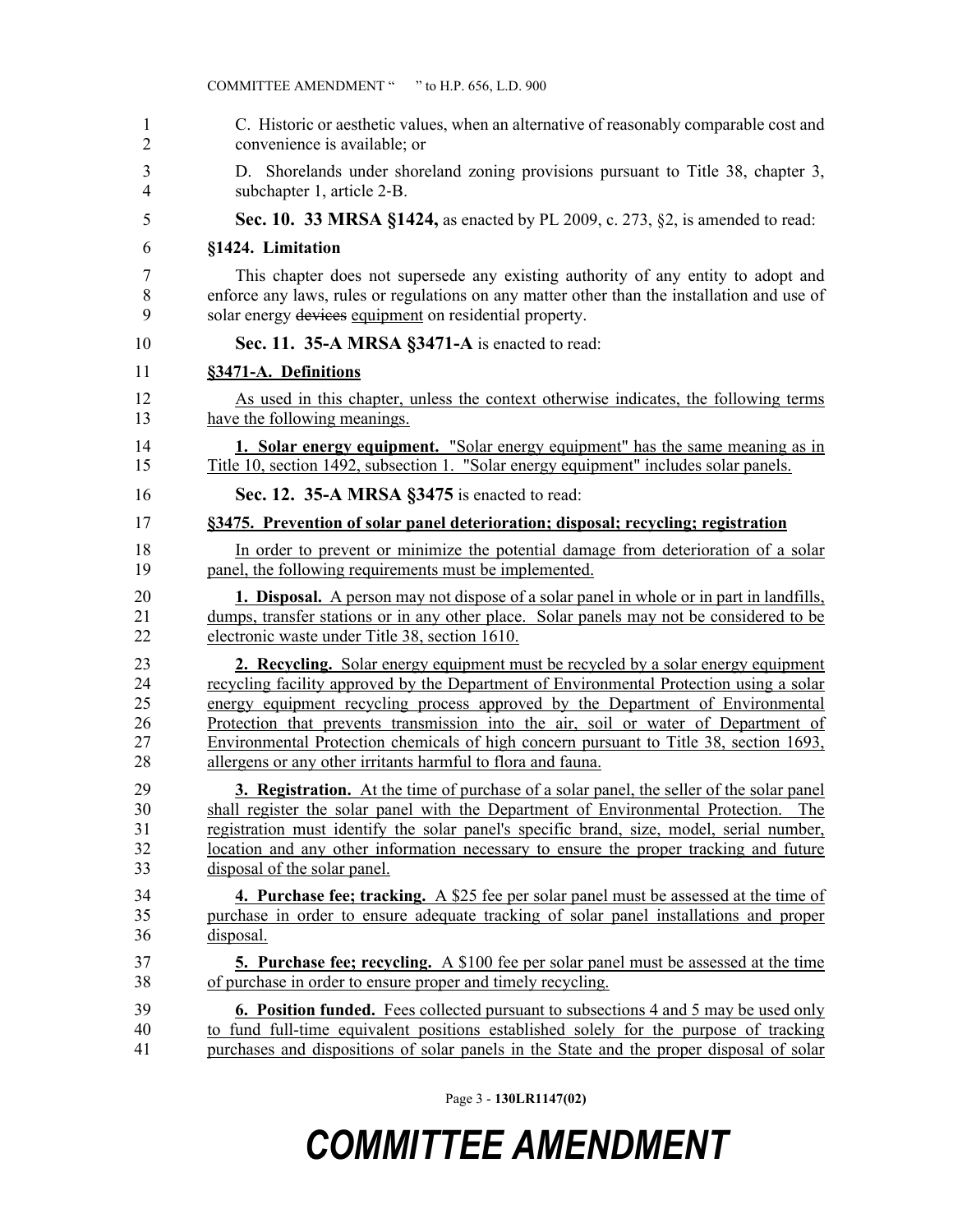| 1  | C. Historic or aesthetic values, when an alternative of reasonably comparable cost and          |
|----|-------------------------------------------------------------------------------------------------|
| 2  | convenience is available; or                                                                    |
| 3  | D. Shorelands under shoreland zoning provisions pursuant to Title 38, chapter 3,                |
| 4  | subchapter 1, article 2-B.                                                                      |
| 5  | Sec. 10. 33 MRSA §1424, as enacted by PL 2009, c. 273, §2, is amended to read:                  |
| 6  | §1424. Limitation                                                                               |
| 7  | This chapter does not supersede any existing authority of any entity to adopt and               |
| 8  | enforce any laws, rules or regulations on any matter other than the installation and use of     |
| 9  | solar energy devices equipment on residential property.                                         |
| 10 | Sec. 11. 35-A MRSA §3471-A is enacted to read:                                                  |
| 11 | §3471-A. Definitions                                                                            |
| 12 | As used in this chapter, unless the context otherwise indicates, the following terms            |
| 13 | have the following meanings.                                                                    |
| 14 | 1. Solar energy equipment. "Solar energy equipment" has the same meaning as in                  |
| 15 | Title 10, section 1492, subsection 1. "Solar energy equipment" includes solar panels.           |
| 16 | Sec. 12. 35-A MRSA §3475 is enacted to read:                                                    |
| 17 | §3475. Prevention of solar panel deterioration; disposal; recycling; registration               |
| 18 | In order to prevent or minimize the potential damage from deterioration of a solar              |
| 19 | panel, the following requirements must be implemented.                                          |
| 20 | <b>1. Disposal.</b> A person may not dispose of a solar panel in whole or in part in landfills, |
| 21 | dumps, transfer stations or in any other place. Solar panels may not be considered to be        |
| 22 | electronic waste under Title 38, section 1610.                                                  |
| 23 | <b>2. Recycling.</b> Solar energy equipment must be recycled by a solar energy equipment        |
| 24 | recycling facility approved by the Department of Environmental Protection using a solar         |
| 25 | energy equipment recycling process approved by the Department of Environmental                  |
| 26 | Protection that prevents transmission into the air, soil or water of Department of              |
| 27 | Environmental Protection chemicals of high concern pursuant to Title 38, section 1693,          |
| 28 | allergens or any other irritants harmful to flora and fauna.                                    |
| 29 | 3. Registration. At the time of purchase of a solar panel, the seller of the solar panel        |
| 30 | shall register the solar panel with the Department of Environmental Protection. The             |
| 31 | registration must identify the solar panel's specific brand, size, model, serial number,        |
| 32 | location and any other information necessary to ensure the proper tracking and future           |
| 33 | disposal of the solar panel.                                                                    |
| 34 | <b>4. Purchase fee; tracking.</b> A \$25 fee per solar panel must be assessed at the time of    |
| 35 | purchase in order to ensure adequate tracking of solar panel installations and proper           |
| 36 | disposal.                                                                                       |
| 37 | <b>5. Purchase fee; recycling.</b> A \$100 fee per solar panel must be assessed at the time     |
| 38 | of purchase in order to ensure proper and timely recycling.                                     |
| 39 | <b>6. Position funded.</b> Fees collected pursuant to subsections 4 and 5 may be used only      |
| 40 | to fund full-time equivalent positions established solely for the purpose of tracking           |
| 41 | purchases and dispositions of solar panels in the State and the proper disposal of solar        |

Page 3 - **130LR1147(02)**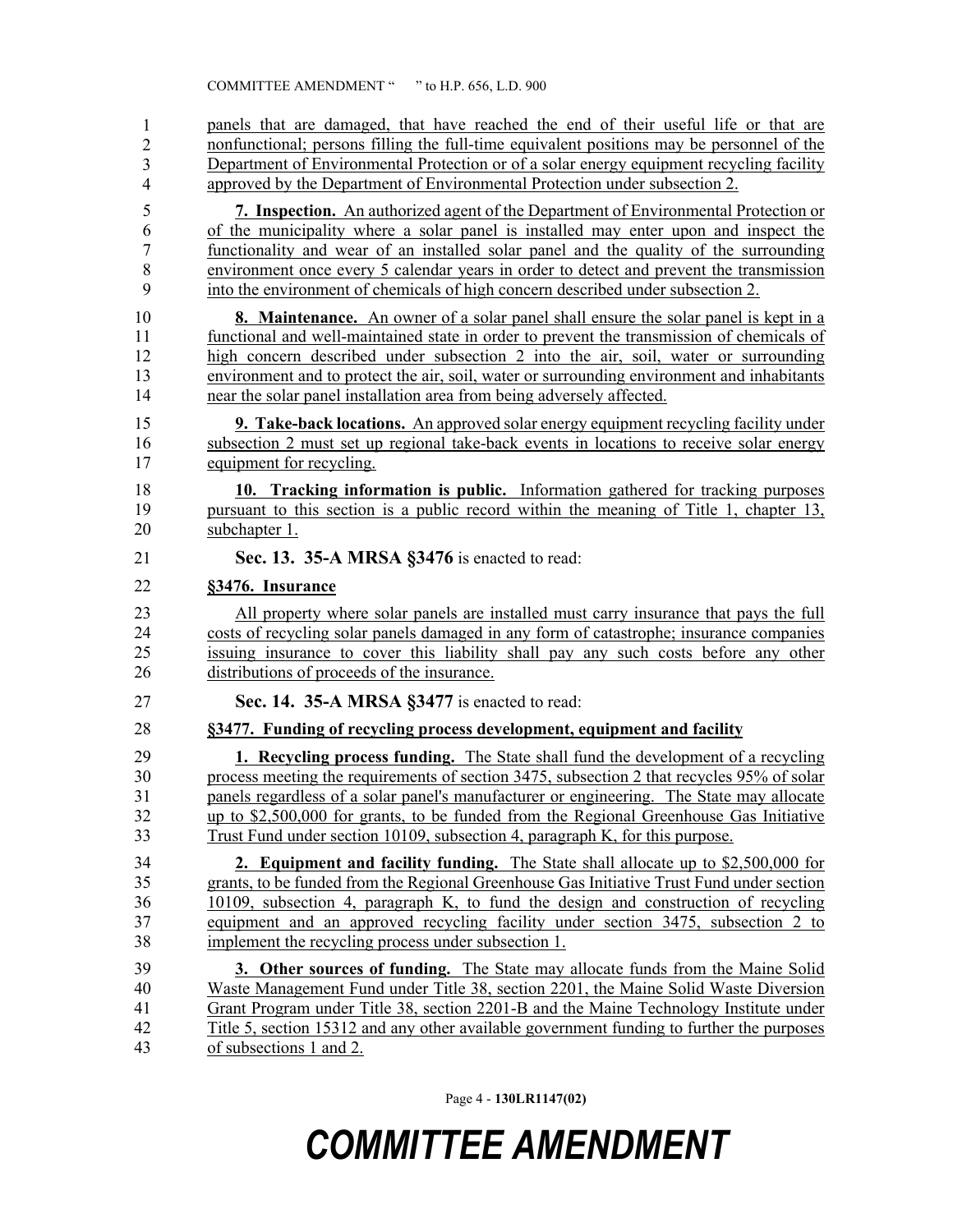panels that are damaged, that have reached the end of their useful life or that are 43 nonfunctional; persons filling the full-time equivalent positions may be personnel of the Department of Environmental Protection or of a solar energy equipment recycling facility approved by the Department of Environmental Protection under subsection 2. 1 2 3 4

- 5 **7. Inspection.** An authorized agent of the Department of Environmental Protection or 6 of the municipality where a solar panel is installed may enter upon and inspect the 7 functionality and wear of an installed solar panel and the quality of the surrounding 8 environment once every 5 calendar years in order to detect and prevent the transmission 9 into the environment of chemicals of high concern described under subsection 2.
- 10 **8. Maintenance.** An owner of a solar panel shall ensure the solar panel is kept in a 11 functional and well-maintained state in order to prevent the transmission of chemicals of 12 high concern described under subsection 2 into the air, soil, water or surrounding 13 environment and to protect the air, soil, water or surrounding environment and inhabitants 14 near the solar panel installation area from being adversely affected.
- 15 **9. Take-back locations.** An approved solar energy equipment recycling facility under 16 subsection 2 must set up regional take-back events in locations to receive solar energy 17 equipment for recycling.
- 18 **10. Tracking information is public.** Information gathered for tracking purposes 19 pursuant to this section is a public record within the meaning of Title 1, chapter 13, 20 subchapter 1.
- 21 **Sec. 13. 35-A MRSA §3476** is enacted to read:

#### 22 **§3476. Insurance**

23 All property where solar panels are installed must carry insurance that pays the full 24 costs of recycling solar panels damaged in any form of catastrophe; insurance companies 25 issuing insurance to cover this liability shall pay any such costs before any other 26 distributions of proceeds of the insurance.

27 **Sec. 14. 35-A MRSA §3477** is enacted to read:

#### 28 **§3477. Funding of recycling process development, equipment and facility**

29 **1. Recycling process funding.** The State shall fund the development of a recycling 30 process meeting the requirements of section 3475, subsection 2 that recycles 95% of solar panels regardless of a solar panel's manufacturer or engineering. The State may allocate panels regardless of a solar panel's manufacturer or engineering. The State may allocate 32 up to \$2,500,000 for grants, to be funded from the Regional Greenhouse Gas Initiative 33 Trust Fund under section 10109, subsection 4, paragraph K, for this purpose.

34 **2. Equipment and facility funding.** The State shall allocate up to \$2,500,000 for 35 grants, to be funded from the Regional Greenhouse Gas Initiative Trust Fund under section 36 10109, subsection 4, paragraph K, to fund the design and construction of recycling 37 equipment and an approved recycling facility under section 3475, subsection 2 to 38 implement the recycling process under subsection 1.

39 **3. Other sources of funding.** The State may allocate funds from the Maine Solid 40 Waste Management Fund under Title 38, section 2201, the Maine Solid Waste Diversion 41 Grant Program under Title 38, section 2201-B and the Maine Technology Institute under 42 Title 5, section 15312 and any other available government funding to further the purposes 43 of subsections 1 and 2.

Page 4 - **130LR1147(02)**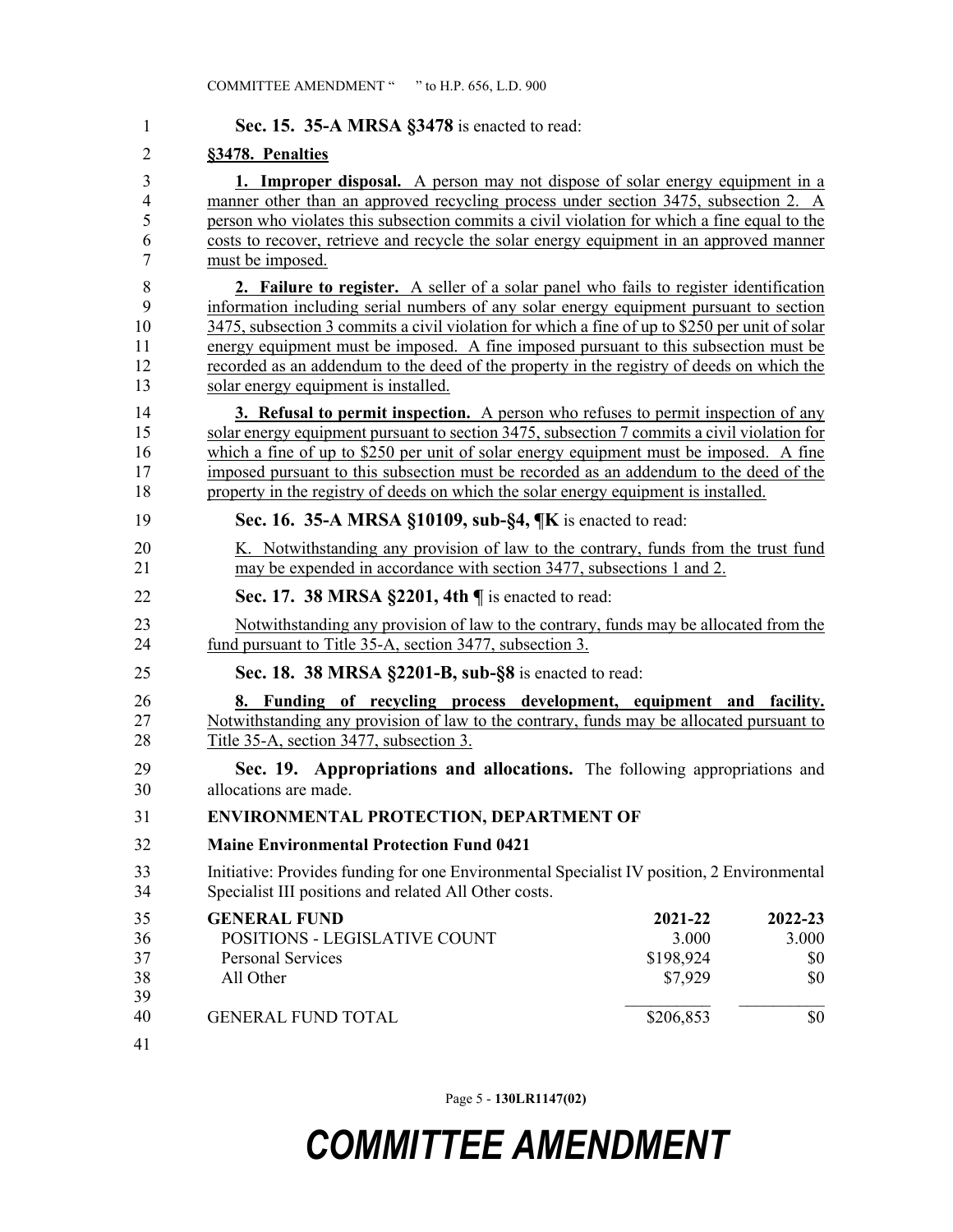| 1                                               | Sec. 15. 35-A MRSA §3478 is enacted to read:                                                                                                                                                                                                                                                                                                                                                                                                                                                                    |                                          |                                |
|-------------------------------------------------|-----------------------------------------------------------------------------------------------------------------------------------------------------------------------------------------------------------------------------------------------------------------------------------------------------------------------------------------------------------------------------------------------------------------------------------------------------------------------------------------------------------------|------------------------------------------|--------------------------------|
| $\overline{2}$                                  | §3478. Penalties                                                                                                                                                                                                                                                                                                                                                                                                                                                                                                |                                          |                                |
| 3<br>$\overline{4}$<br>5<br>6<br>$\overline{7}$ | 1. Improper disposal. A person may not dispose of solar energy equipment in a<br>manner other than an approved recycling process under section 3475, subsection 2. A<br>person who violates this subsection commits a civil violation for which a fine equal to the<br>costs to recover, retrieve and recycle the solar energy equipment in an approved manner<br>must be imposed.                                                                                                                              |                                          |                                |
| 8<br>9<br>10<br>11<br>12<br>13                  | 2. Failure to register. A seller of a solar panel who fails to register identification<br>information including serial numbers of any solar energy equipment pursuant to section<br>3475, subsection 3 commits a civil violation for which a fine of up to \$250 per unit of solar<br>energy equipment must be imposed. A fine imposed pursuant to this subsection must be<br>recorded as an addendum to the deed of the property in the registry of deeds on which the<br>solar energy equipment is installed. |                                          |                                |
| 14<br>15<br>16<br>17<br>18                      | <b>3. Refusal to permit inspection.</b> A person who refuses to permit inspection of any<br>solar energy equipment pursuant to section 3475, subsection 7 commits a civil violation for<br>which a fine of up to \$250 per unit of solar energy equipment must be imposed. A fine<br>imposed pursuant to this subsection must be recorded as an addendum to the deed of the<br>property in the registry of deeds on which the solar energy equipment is installed.                                              |                                          |                                |
| 19                                              | Sec. 16. 35-A MRSA §10109, sub-§4, ¶K is enacted to read:                                                                                                                                                                                                                                                                                                                                                                                                                                                       |                                          |                                |
| 20<br>21                                        | K. Notwithstanding any provision of law to the contrary, funds from the trust fund<br>may be expended in accordance with section 3477, subsections 1 and 2.                                                                                                                                                                                                                                                                                                                                                     |                                          |                                |
| 22                                              | Sec. 17. 38 MRSA $\S$ 2201, 4th $\P$ is enacted to read:                                                                                                                                                                                                                                                                                                                                                                                                                                                        |                                          |                                |
| 23<br>24                                        | Notwithstanding any provision of law to the contrary, funds may be allocated from the<br>fund pursuant to Title 35-A, section 3477, subsection 3.                                                                                                                                                                                                                                                                                                                                                               |                                          |                                |
| 25                                              | Sec. 18. 38 MRSA §2201-B, sub-§8 is enacted to read:                                                                                                                                                                                                                                                                                                                                                                                                                                                            |                                          |                                |
| 26<br>27<br>28                                  | 8. Funding of recycling process development, equipment and facility.<br>Notwithstanding any provision of law to the contrary, funds may be allocated pursuant to<br>Title 35-A, section 3477, subsection 3.                                                                                                                                                                                                                                                                                                     |                                          |                                |
| 29<br>30                                        | Sec. 19. Appropriations and allocations. The following appropriations and<br>allocations are made.                                                                                                                                                                                                                                                                                                                                                                                                              |                                          |                                |
| 31                                              | ENVIRONMENTAL PROTECTION, DEPARTMENT OF                                                                                                                                                                                                                                                                                                                                                                                                                                                                         |                                          |                                |
| 32                                              | <b>Maine Environmental Protection Fund 0421</b>                                                                                                                                                                                                                                                                                                                                                                                                                                                                 |                                          |                                |
| 33<br>34                                        | Initiative: Provides funding for one Environmental Specialist IV position, 2 Environmental<br>Specialist III positions and related All Other costs.                                                                                                                                                                                                                                                                                                                                                             |                                          |                                |
| 35<br>36<br>37<br>38<br>39                      | <b>GENERAL FUND</b><br>POSITIONS - LEGISLATIVE COUNT<br><b>Personal Services</b><br>All Other                                                                                                                                                                                                                                                                                                                                                                                                                   | 2021-22<br>3.000<br>\$198,924<br>\$7,929 | 2022-23<br>3.000<br>\$0<br>\$0 |
| 40<br>41                                        | <b>GENERAL FUND TOTAL</b>                                                                                                                                                                                                                                                                                                                                                                                                                                                                                       | \$206,853                                | \$0                            |

Page 5 - **130LR1147(02)**